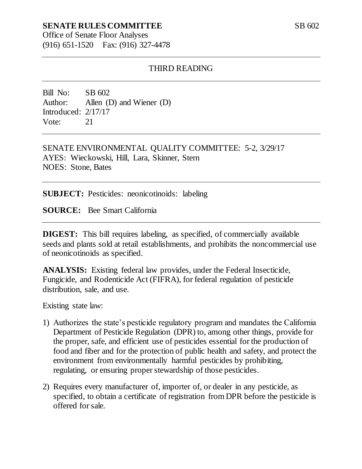#### **SENATE RULES COMMITTEE**

Office of Senate Floor Analyses (916) 651-1520 Fax: (916) 327-4478

#### THIRD READING

Bill No: SB 602 Author: Allen (D) and Wiener (D) Introduced: 2/17/17 Vote: 21

SENATE ENVIRONMENTAL QUALITY COMMITTEE: 5-2, 3/29/17 AYES: Wieckowski, Hill, Lara, Skinner, Stern NOES: Stone, Bates

**SUBJECT:** Pesticides: neonicotinoids: labeling

**SOURCE:** Bee Smart California

**DIGEST:** This bill requires labeling, as specified, of commercially available seeds and plants sold at retail establishments, and prohibits the noncommercial use of neonicotinoids as specified.

**ANALYSIS:** Existing federal law provides, under the Federal Insecticide, Fungicide, and Rodenticide Act (FIFRA), for federal regulation of pesticide distribution, sale, and use.

Existing state law:

- 1) Authorizes the state's pesticide regulatory program and mandates the California Department of Pesticide Regulation (DPR) to, among other things, provide for the proper, safe, and efficient use of pesticides essential for the production of food and fiber and for the protection of public health and safety, and protect the environment from environmentally harmful pesticides by prohibiting, regulating, or ensuring proper stewardship of those pesticides.
- 2) Requires every manufacturer of, importer of, or dealer in any pesticide, as specified, to obtain a certificate of registration from DPR before the pesticide is offered for sale.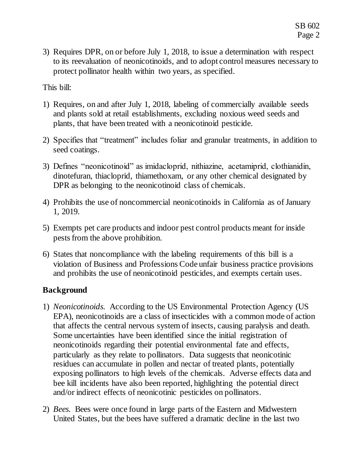3) Requires DPR, on or before July 1, 2018, to issue a determination with respect to its reevaluation of neonicotinoids, and to adopt control measures necessary to protect pollinator health within two years, as specified.

This bill:

- 1) Requires, on and after July 1, 2018, labeling of commercially available seeds and plants sold at retail establishments, excluding noxious weed seeds and plants, that have been treated with a neonicotinoid pesticide.
- 2) Specifies that "treatment" includes foliar and granular treatments, in addition to seed coatings.
- 3) Defines "neonicotinoid" as imidacloprid, nithiazine, acetamiprid, clothianidin, dinotefuran, thiacloprid, thiamethoxam, or any other chemical designated by DPR as belonging to the neonicotinoid class of chemicals.
- 4) Prohibits the use of noncommercial neonicotinoids in California as of January 1, 2019.
- 5) Exempts pet care products and indoor pest control products meant for inside pests from the above prohibition.
- 6) States that noncompliance with the labeling requirements of this bill is a violation of Business and Professions Code unfair business practice provisions and prohibits the use of neonicotinoid pesticides, and exempts certain uses.

# **Background**

- 1) *Neonicotinoids.* According to the US Environmental Protection Agency (US EPA), neonicotinoids are a class of insecticides with a common mode of action that affects the central nervous system of insects, causing paralysis and death. Some uncertainties have been identified since the initial registration of neonicotinoids regarding their potential environmental fate and effects, particularly as they relate to pollinators. Data suggests that neonicotinic residues can accumulate in pollen and nectar of treated plants, potentially exposing pollinators to high levels of the chemicals. Adverse effects data and bee kill incidents have also been reported, highlighting the potential direct and/or indirect effects of neonicotinic pesticides on pollinators.
- 2) *Bees.* Bees were once found in large parts of the Eastern and Midwestern United States*,* but the bees have suffered a dramatic decline in the last two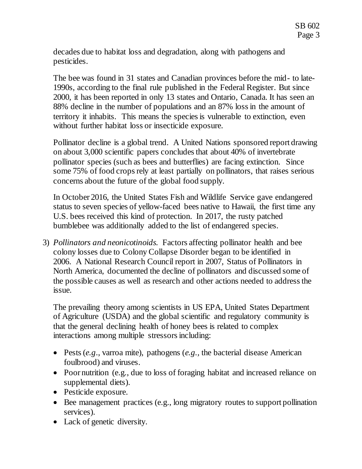decades due to habitat loss and degradation, along with pathogens and pesticides.

The bee was found in 31 states and Canadian provinces before the mid- to late-1990s, according to the final rule published in the Federal Register. But since 2000, it has been reported in only 13 states and Ontario, Canada. It has seen an 88% decline in the number of populations and an 87% loss in the amount of territory it inhabits. This means the species is vulnerable to extinction, even without further habitat loss or insecticide exposure.

Pollinator decline is a global trend. A United Nations sponsored report drawing on about 3,000 scientific papers concludes that about 40% of invertebrate pollinator species (such as bees and butterflies) are facing extinction. Since some 75% of food crops rely at least partially on pollinators, that raises serious concerns about the future of the global food supply.

In October 2016, the United States Fish and Wildlife Service gave endangered status to seven species of yellow-faced bees native to Hawaii, the first time any U.S. bees received this kind of protection. In 2017, the rusty patched bumblebee was additionally added to the list of endangered species.

3) *Pollinators and neonicotinoids.* Factors affecting pollinator health and bee colony losses due to Colony Collapse Disorder began to be identified in 2006. A National Research Council report in 2007, Status of Pollinators in North America, documented the decline of pollinators and discussed some of the possible causes as well as research and other actions needed to address the issue.

The prevailing theory among scientists in US EPA, United States Department of Agriculture (USDA) and the global scientific and regulatory community is that the general declining health of honey bees is related to complex interactions among multiple stressors including:

- Pests (*e.g*., varroa mite), pathogens (*e.g.,* the bacterial disease American foulbrood) and viruses.
- Poor nutrition (e.g., due to loss of foraging habitat and increased reliance on supplemental diets).
- Pesticide exposure.
- Bee management practices (e.g., long migratory routes to support pollination services).
- Lack of genetic diversity.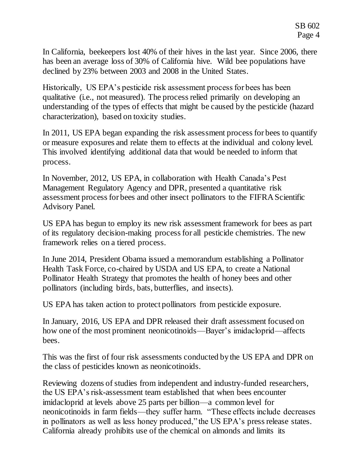In California, beekeepers lost 40% of their hives in the last year. Since 2006, there has been an average loss of 30% of California hive. Wild bee populations have declined by 23% between 2003 and 2008 in the United States.

Historically, US EPA's pesticide risk assessment process for bees has been qualitative (i.e., not measured). The process relied primarily on developing an understanding of the types of effects that might be caused by the pesticide (hazard characterization), based on toxicity studies.

In 2011, US EPA began expanding the risk assessment process for bees to quantify or measure exposures and relate them to effects at the individual and colony level. This involved identifying additional data that would be needed to inform that process.

In November, 2012, US EPA, in collaboration with Health Canada's Pest Management Regulatory Agency and DPR, presented a quantitative risk assessment process for bees and other insect pollinators to the FIFRA Scientific Advisory Panel.

US EPA has begun to employ its new risk assessment framework for bees as part of its regulatory decision-making process for all pesticide chemistries. The new framework relies on a tiered process.

In June 2014, President Obama issued a memorandum establishing a Pollinator Health Task Force, co-chaired by USDA and US EPA, to create a National Pollinator Health Strategy that promotes the health of honey bees and other pollinators (including birds, bats, butterflies, and insects).

US EPA has taken action to protect pollinators from pesticide exposure.

In January, 2016, US EPA and DPR released their draft assessment focused on how one of the most prominent neonicotinoids—Bayer's imidacloprid—affects bees.

This was the first of four risk assessments conducted by the US EPA and DPR on the class of pesticides known as neonicotinoids.

Reviewing dozens of studies from independent and industry-funded researchers, the US EPA's risk-assessment team established that when bees encounter imidacloprid at levels above 25 parts per billion—a common level for neonicotinoids in farm fields—they suffer harm. "These effects include decreases in pollinators as well as less honey produced," the US EPA's press release states. California already prohibits use of the chemical on almonds and limits its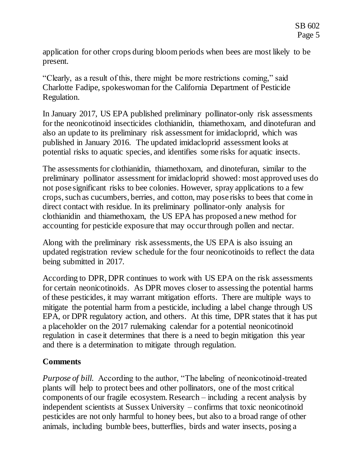application for other crops during bloom periods when bees are most likely to be present.

"Clearly, as a result of this, there might be more restrictions coming," said Charlotte Fadipe, spokeswoman for the California Department of Pesticide Regulation.

In January 2017, US EPA published preliminary pollinator-only risk assessments for the neonicotinoid insecticides clothianidin, thiamethoxam, and dinotefuran and also an update to its preliminary risk assessment for imidacloprid, which was published in January 2016. The updated imidacloprid assessment looks at potential risks to aquatic species, and identifies some risks for aquatic insects.

The assessments for clothianidin, thiamethoxam, and dinotefuran, similar to the preliminary pollinator assessment for imidacloprid showed: most approved uses do not pose significant risks to bee colonies. However, spray applications to a few crops, such as cucumbers, berries, and cotton, may pose risks to bees that come in direct contact with residue. In its preliminary pollinator-only analysis for clothianidin and thiamethoxam, the US EPA has proposed a new method for accounting for pesticide exposure that may occur through pollen and nectar.

Along with the preliminary risk assessments, the US EPA is also issuing an updated registration review schedule for the four neonicotinoids to reflect the data being submitted in 2017.

According to DPR, DPR continues to work with US EPA on the risk assessments for certain neonicotinoids. As DPR moves closer to assessing the potential harms of these pesticides, it may warrant mitigation efforts. There are multiple ways to mitigate the potential harm from a pesticide, including a label change through US EPA, or DPR regulatory action, and others. At this time, DPR states that it has put a placeholder on the 2017 rulemaking calendar for a potential neonicotinoid regulation in case it determines that there is a need to begin mitigation this year and there is a determination to mitigate through regulation.

# **Comments**

*Purpose of bill.* According to the author, "The labeling of neonicotinoid-treated plants will help to protect bees and other pollinators, one of the most critical components of our fragile ecosystem. Research – including a recent analysis by independent scientists at Sussex University – confirms that toxic neonicotinoid pesticides are not only harmful to honey bees, but also to a broad range of other animals, including bumble bees, butterflies, birds and water insects, posing a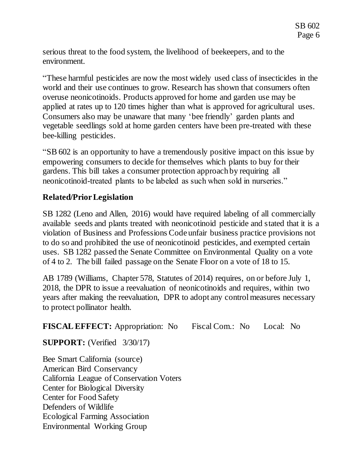serious threat to the food system, the livelihood of beekeepers, and to the environment.

"These harmful pesticides are now the most widely used class of insecticides in the world and their use continues to grow. Research has shown that consumers often overuse neonicotinoids. Products approved for home and garden use may be applied at rates up to 120 times higher than what is approved for agricultural uses. Consumers also may be unaware that many 'bee friendly' garden plants and vegetable seedlings sold at home garden centers have been pre-treated with these bee-killing pesticides.

"SB 602 is an opportunity to have a tremendously positive impact on this issue by empowering consumers to decide for themselves which plants to buy for their gardens. This bill takes a consumer protection approach by requiring all neonicotinoid-treated plants to be labeled as such when sold in nurseries."

# **Related/Prior Legislation**

SB 1282 (Leno and Allen, 2016) would have required labeling of all commercially available seeds and plants treated with neonicotinoid pesticide and stated that it is a violation of Business and Professions Code unfair business practice provisions not to do so and prohibited the use of neonicotinoid pesticides, and exempted certain uses. SB 1282 passed the Senate Committee on Environmental Quality on a vote of 4 to 2. The bill failed passage on the Senate Floor on a vote of 18 to 15.

AB 1789 (Williams, Chapter 578, Statutes of 2014) requires, on or before July 1, 2018, the DPR to issue a reevaluation of neonicotinoids and requires, within two years after making the reevaluation, DPR to adopt any control measures necessary to protect pollinator health.

**FISCAL EFFECT:** Appropriation: No Fiscal Com.: No Local: No

**SUPPORT:** (Verified 3/30/17)

Bee Smart California (source) American Bird Conservancy California League of Conservation Voters Center for Biological Diversity Center for Food Safety Defenders of Wildlife Ecological Farming Association Environmental Working Group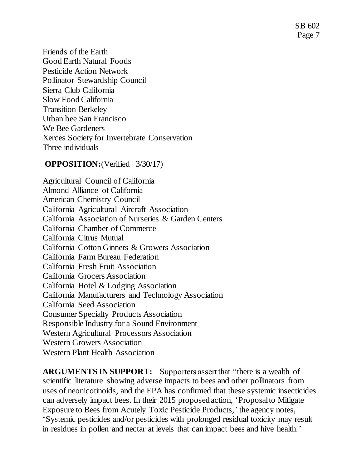SB 602 Page 7

Friends of the Earth Good Earth Natural Foods Pesticide Action Network Pollinator Stewardship Council Sierra Club California Slow Food California Transition Berkeley Urban bee San Francisco We Bee Gardeners Xerces Society for Invertebrate Conservation Three individuals

#### **OPPOSITION:**(Verified 3/30/17)

Agricultural Council of California Almond Alliance of California American Chemistry Council California Agricultural Aircraft Association California Association of Nurseries & Garden Centers California Chamber of Commerce California Citrus Mutual California Cotton Ginners & Growers Association California Farm Bureau Federation California Fresh Fruit Association California Grocers Association California Hotel & Lodging Association California Manufacturers and Technology Association California Seed Association Consumer Specialty Products Association Responsible Industry for a Sound Environment Western Agricultural Processors Association Western Growers Association Western Plant Health Association

**ARGUMENTS IN SUPPORT:** Supporters assert that "there is a wealth of scientific literature showing adverse impacts to bees and other pollinators from uses of neonicotinoids, and the EPA has confirmed that these systemic insecticides can adversely impact bees. In their 2015 proposed action, 'Proposal to Mitigate Exposure to Bees from Acutely Toxic Pesticide Products,' the agency notes, 'Systemic pesticides and/or pesticides with prolonged residual toxicity may result in residues in pollen and nectar at levels that can impact bees and hive health.'